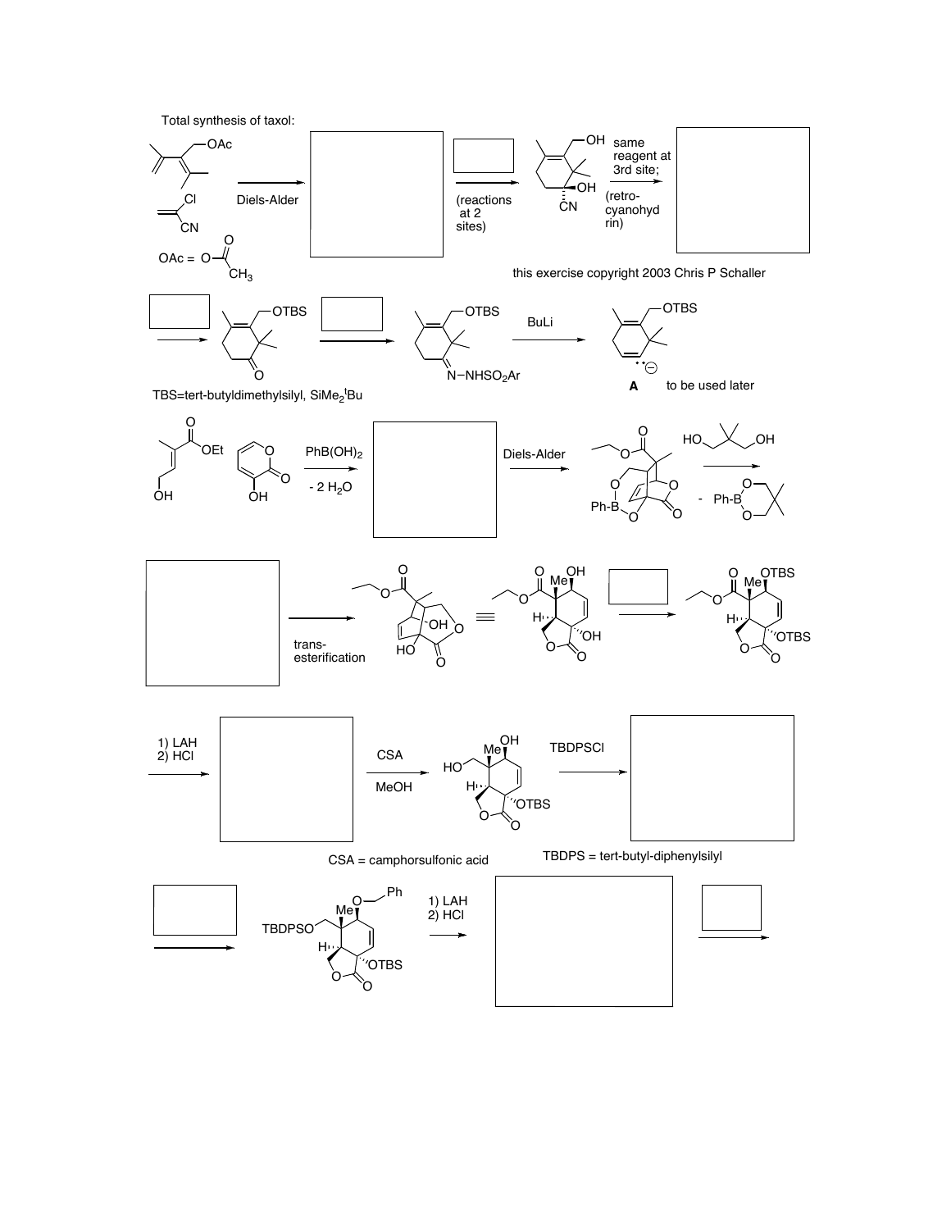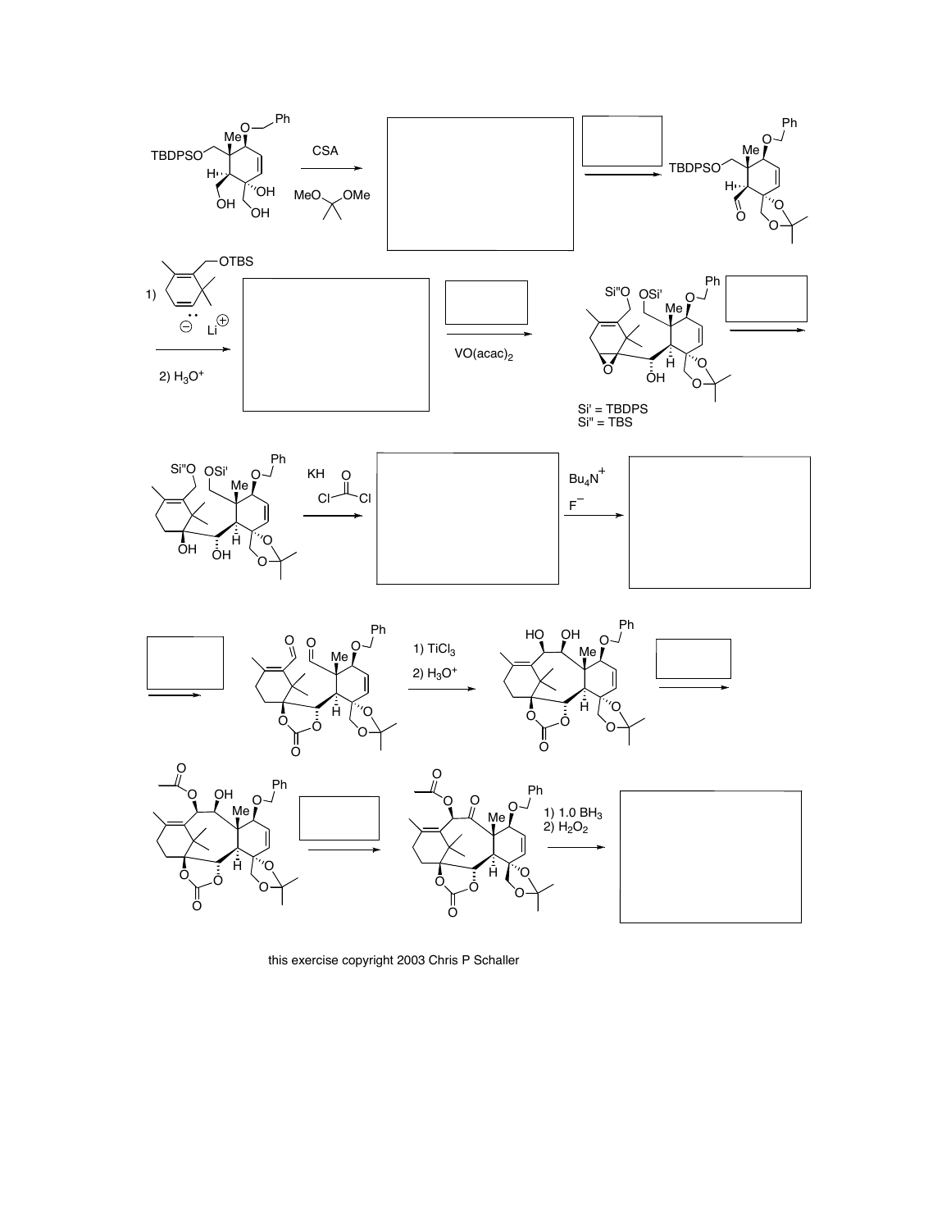

this exercise copyright 2003 Chris P Schaller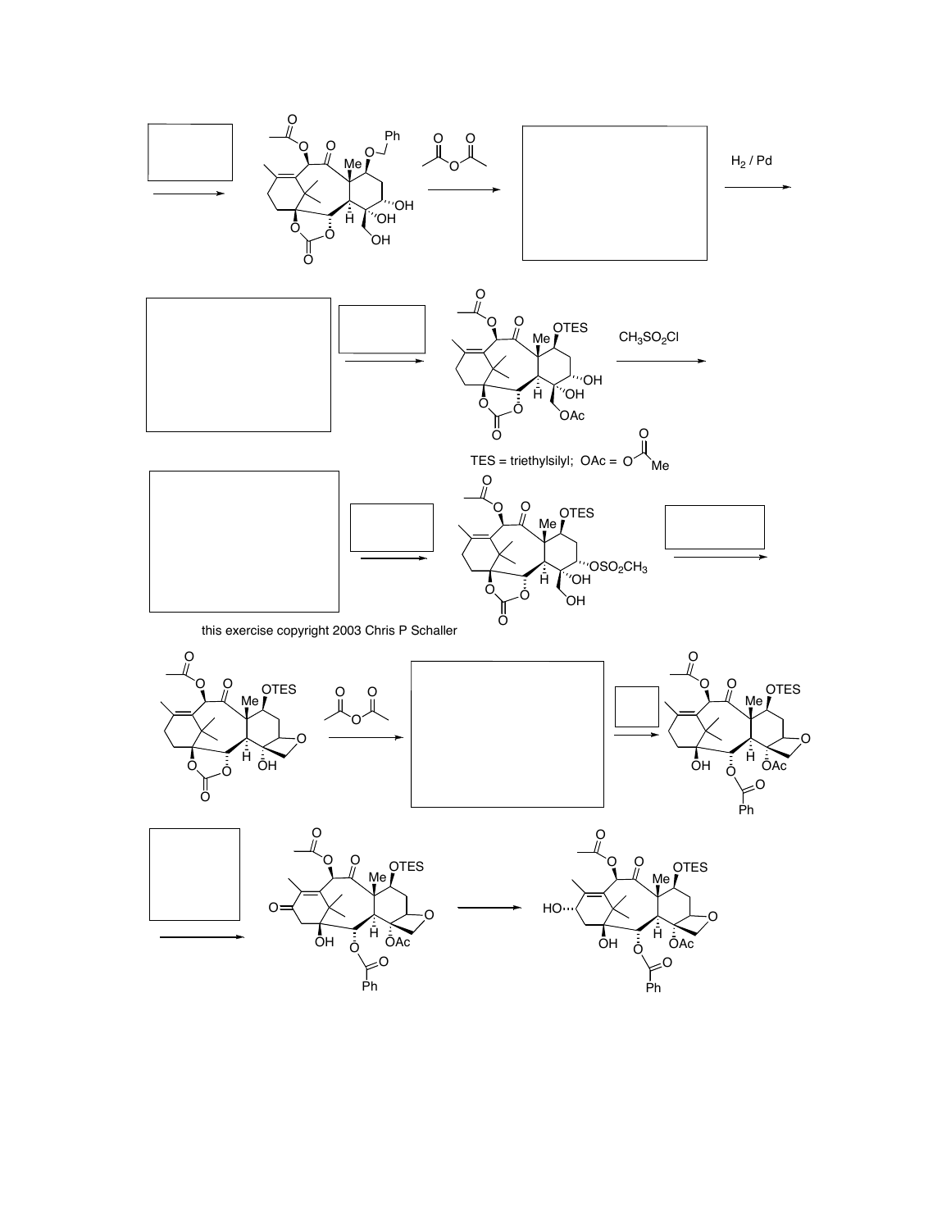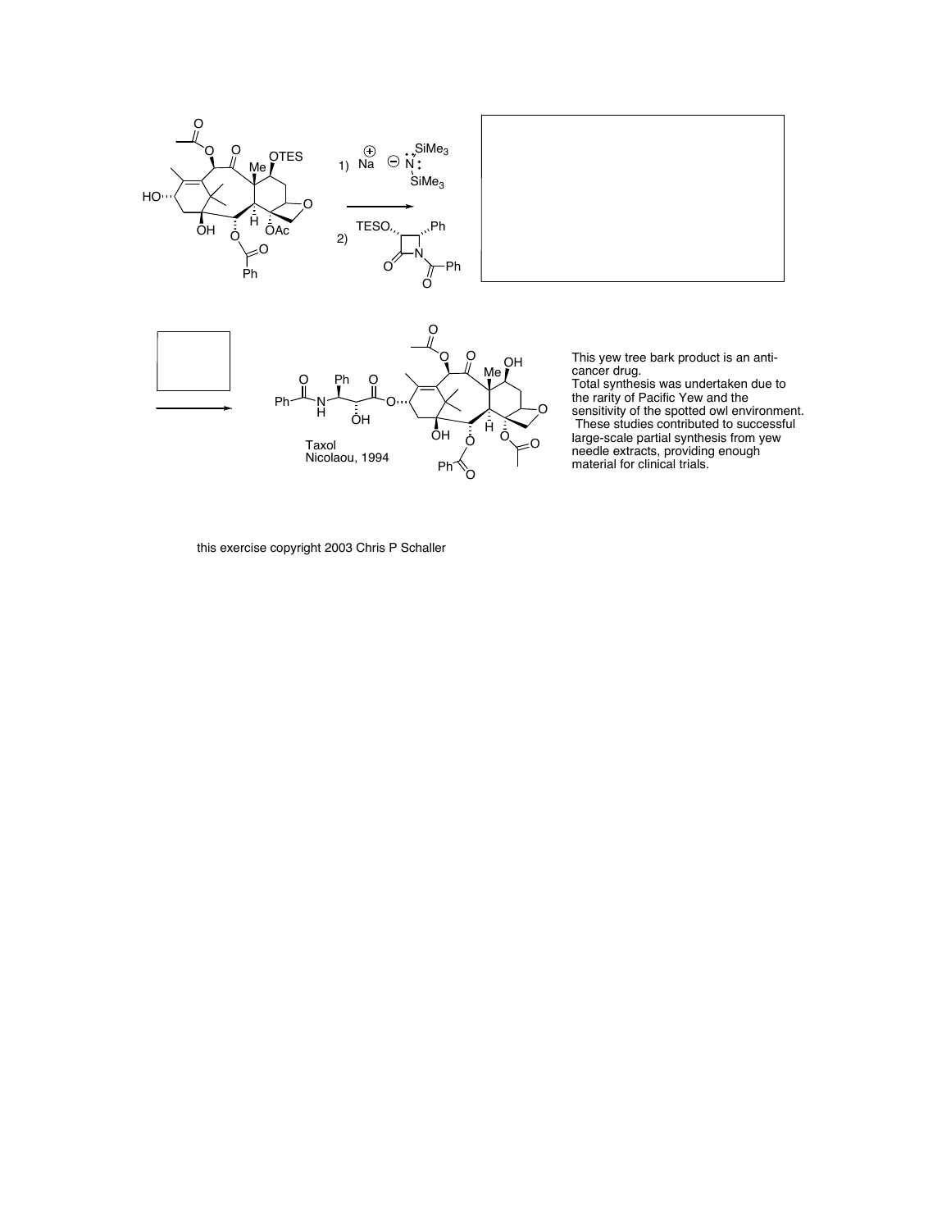

this exercise copyright 2003 Chris P Schaller